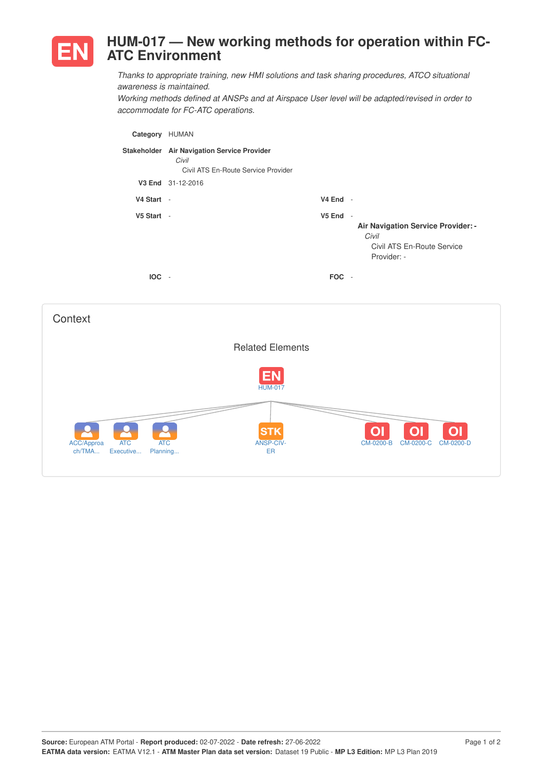

## **HUM-017 — New working methods for operation within FC-ATC Environment**

*Thanks to appropriate training, new HMI solutions and task sharing procedures, ATCO situational awareness is maintained.*

*Working methods defined at ANSPs and at Airspace User level will be adapted/revised in order to accommodate for FC-ATC operations.*